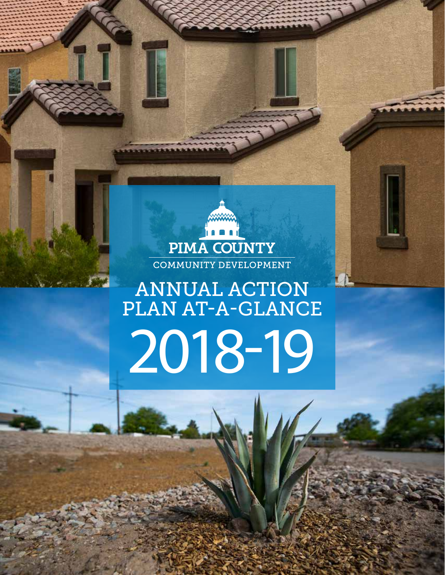# 2018-19 ANNUAL ACTION PLAN AT-A-GLANCE

COMMUNITY DEVELOPMENT

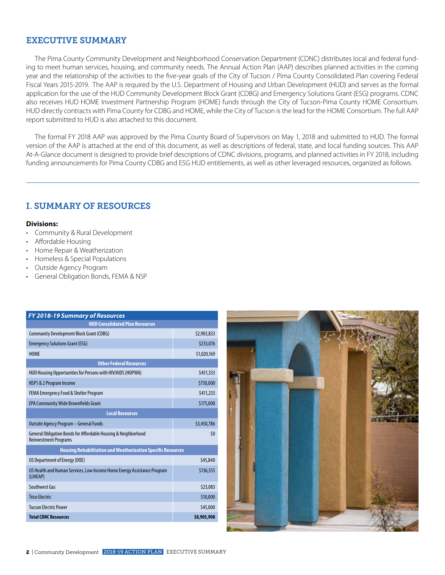# EXECUTIVE SUMMARY

The Pima County Community Development and Neighborhood Conservation Department (CDNC) distributes local and federal funding to meet human services, housing, and community needs. The Annual Action Plan (AAP) describes planned activities in the coming year and the relationship of the activities to the five-year goals of the City of Tucson / Pima County Consolidated Plan covering Federal Fiscal Years 2015-2019. The AAP is required by the U.S. Department of Housing and Urban Development (HUD) and serves as the formal application for the use of the HUD Community Development Block Grant (CDBG) and Emergency Solutions Grant (ESG) programs. CDNC also receives HUD HOME Investment Partnership Program (HOME) funds through the City of Tucson-Pima County HOME Consortium. HUD directly contracts with Pima County for CDBG and HOME, while the City of Tucson is the lead for the HOME Consortium. The full AAP report submitted to HUD is also attached to this document.

The formal FY 2018 AAP was approved by the Pima County Board of Supervisors on May 1, 2018 and submitted to HUD. The formal version of the AAP is attached at the end of this document, as well as descriptions of federal, state, and local funding sources. This AAP At-A-Glance document is designed to provide brief descriptions of CDNC divisions, programs, and planned activities in FY 2018, including funding announcements for Pima County CDBG and ESG HUD entitlements, as well as other leveraged resources, organized as follows.

# I. SUMMARY OF RESOURCES

## **Divisions:**

- Community & Rural Development
- Affordable Housing
- Home Repair & Weatherization
- Homeless & Special Populations
- Outside Agency Program
- General Obligation Bonds, FEMA & NSP

| <b>FY 2018-19 Summary of Resources</b>                                                         |             |  |  |
|------------------------------------------------------------------------------------------------|-------------|--|--|
| <b>HUD Consolidated Plan Resources</b>                                                         |             |  |  |
| <b>Community Development Block Grant (CDBG)</b>                                                | \$2,903,833 |  |  |
| <b>Emergency Solutions Grant (ESG)</b>                                                         | \$233,076   |  |  |
| <b>HOMF</b>                                                                                    | \$1,020,169 |  |  |
| <b>Other Federal Resources</b>                                                                 |             |  |  |
| HUD Housing Opportunities for Persons with HIV/AIDS (HOPWA)                                    | \$451,333   |  |  |
| NSP1 & 2 Program Income                                                                        | \$750,000   |  |  |
| FEMA Emergency Food & Shelter Program                                                          | \$411,233   |  |  |
| <b>EPA Community Wide Brownfields Grant</b>                                                    | \$175,000   |  |  |
| <b>Local Resources</b>                                                                         |             |  |  |
| Outside Agency Program - General Funds                                                         | \$3,450,786 |  |  |
| General Obligation Bonds for Affordable Housing & Neighborhood<br><b>Reinvestment Programs</b> | \$0         |  |  |
| <b>Housing Rehabilitation and Weatherization Specific Resources</b>                            |             |  |  |
| US Department of Energy (DOE)                                                                  | \$45,840    |  |  |
| US Health and Human Services, Low Income Home Energy Assistance Program<br>(LIHEAP)            | \$136,555   |  |  |
| Southwest Gas                                                                                  | \$23,083    |  |  |
| <b>Trico Electric</b>                                                                          | \$10,000    |  |  |
| <b>Tucson Electric Power</b>                                                                   | \$45,000    |  |  |
| <b>Total CDNC Resources</b>                                                                    | \$8,905,908 |  |  |

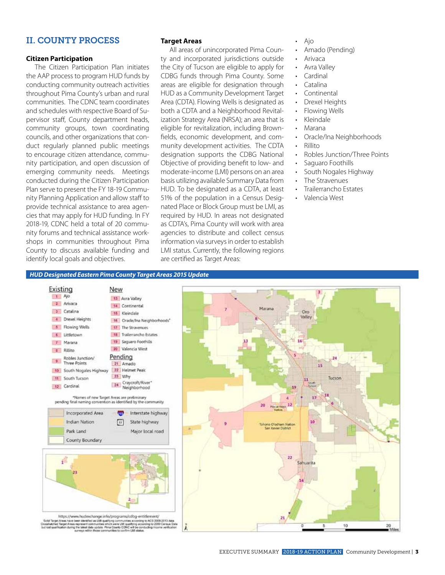# II. COUNTY PROCESS

#### **Citizen Participation**

The Citizen Participation Plan initiates the AAP process to program HUD funds by conducting community outreach activities throughout Pima County's urban and rural communities. The CDNC team coordinates and schedules with respective Board of Supervisor staff, County department heads, community groups, town coordinating councils, and other organizations that conduct regularly planned public meetings to encourage citizen attendance, community participation, and open discussion of emerging community needs. Meetings conducted during the Citizen Participation Plan serve to present the FY 18-19 Community Planning Application and allow staff to provide technical assistance to area agencies that may apply for HUD funding. In FY 2018-19, CDNC held a total of 20 community forums and technical assistance workshops in communities throughout Pima County to discuss available funding and identify local goals and objectives.

#### **Target Areas**

All areas of unincorporated Pima County and incorporated jurisdictions outside the City of Tucson are eligible to apply for CDBG funds through Pima County. Some areas are eligible for designation through HUD as a Community Development Target Area (CDTA). Flowing Wells is designated as both a CDTA and a Neighborhood Revitalization Strategy Area (NRSA); an area that is eligible for revitalization, including Brownfields, economic development, and community development activities. The CDTA designation supports the CDBG National Objective of providing benefit to low- and moderate-income (LMI) persons on an area basis utilizing available Summary Data from HUD. To be designated as a CDTA, at least 51% of the population in a Census Designated Place or Block Group must be LMI, as required by HUD. In areas not designated as CDTA's, Pima County will work with area agencies to distribute and collect census information via surveys in order to establish LMI status. Currently, the following regions are certified as Target Areas:

- Ajo
- Amado (Pending)
- **Arivaca**
- Avra Valley
- **Cardinal**
- Catalina
- **Continental**
- Drexel Heights
- Flowing Wells
- Kleindale
- Marana
- Oracle/Ina Neighborhoods
- Rillito
- Robles Junction/Three Points
- Saguaro Foothills
- South Nogales Highway
- The Stravenues
- Trailerrancho Estates
- Valencia West

#### *HUD Designated Eastern Pima County Target Areas 2015 Update*

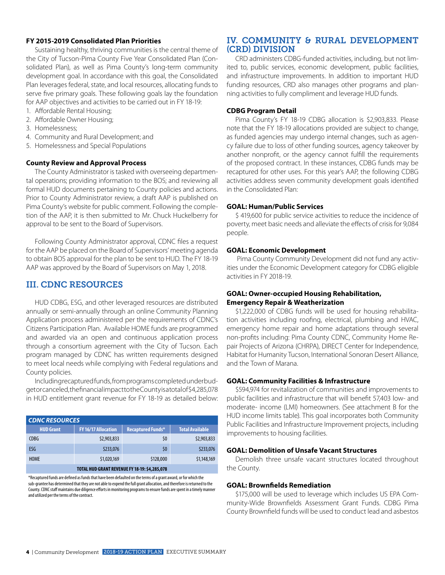## **FY 2015-2019 Consolidated Plan Priorities**

Sustaining healthy, thriving communities is the central theme of the City of Tucson-Pima County Five Year Consolidated Plan (Consolidated Plan), as well as Pima County's long-term community development goal. In accordance with this goal, the Consolidated Plan leverages federal, state, and local resources, allocating funds to serve five primary goals. These following goals lay the foundation for AAP objectives and activities to be carried out in FY 18-19:

- 1. Affordable Rental Housing;
- 2. Affordable Owner Housing;
- 3. Homelessness;
- 4. Community and Rural Development; and
- 5. Homelessness and Special Populations

#### **County Review and Approval Process**

The County Administrator is tasked with overseeing departmental operations; providing information to the BOS; and reviewing all formal HUD documents pertaining to County policies and actions. Prior to County Administrator review, a draft AAP is published on Pima County's website for public comment. Following the completion of the AAP, it is then submitted to Mr. Chuck Huckelberry for approval to be sent to the Board of Supervisors.

Following County Administrator approval, CDNC files a request for the AAP be placed on the Board of Supervisors' meeting agenda to obtain BOS approval for the plan to be sent to HUD. The FY 18-19 AAP was approved by the Board of Supervisors on May 1, 2018.

# III. CDNC RESOURCES

HUD CDBG, ESG, and other leveraged resources are distributed annually or semi-annually through an online Community Planning Application process administered per the requirements of CDNC's Citizens Participation Plan. Available HOME funds are programmed and awarded via an open and continuous application process through a consortium agreement with the City of Tucson. Each program managed by CDNC has written requirements designed to meet local needs while complying with Federal regulations and County policies.

Including recaptured funds, from programs completed under budget or canceled, the financial impact to the County is a total of \$4,285,078 in HUD entitlement grant revenue for FY 18-19 as detailed below:

| <b>CDNC RESOURCES</b>                         |                     |                          |                        |  |
|-----------------------------------------------|---------------------|--------------------------|------------------------|--|
| <b>HUD Grant</b>                              | FY 16/17 Allocation | <b>Recaptured Funds*</b> | <b>Total Available</b> |  |
| <b>CDBG</b>                                   | \$2,903,833         | \$0                      | \$2,903,833            |  |
| ESG                                           | \$233,076           | \$0                      | \$233,076              |  |
| <b>HOME</b>                                   | \$1,020,169         | \$128,000                | \$1,148,169            |  |
| TOTAL HUD GRANT REVENUE FY 18-19: \$4,285,078 |                     |                          |                        |  |

\*Recaptured funds are defined as funds that have been defaulted on the terms of a grant award, or for which the sub-grantee has determined that they are not able to expend the full grant allocation, and therefore is returned to the County. CDNC staff maintains due diligence efforts in monitoring programs to ensure funds are spent in a timely manner and utilized per the terms of the contract.

# IV. COMMUNITY & RURAL DEVELOPMENT (CRD) DIVISION

CRD administers CDBG-funded activities, including, but not limited to, public services, economic development, public facilities, and infrastructure improvements. In addition to important HUD funding resources, CRD also manages other programs and planning activities to fully compliment and leverage HUD funds.

#### **CDBG Program Detail**

Pima County's FY 18-19 CDBG allocation is \$2,903,833. Please note that the FY 18-19 allocations provided are subject to change, as funded agencies may undergo internal changes, such as agency failure due to loss of other funding sources, agency takeover by another nonprofit, or the agency cannot fulfill the requirements of the proposed contract. In these instances, CDBG funds may be recaptured for other uses. For this year's AAP, the following CDBG activities address seven community development goals identified in the Consolidated Plan:

#### **GOAL: Human/Public Services**

\$ 419,600 for public service activities to reduce the incidence of poverty, meet basic needs and alleviate the effects of crisis for 9,084 people.

#### **GOAL: Economic Development**

 Pima County Community Development did not fund any activities under the Economic Development category for CDBG eligible activities in FY 2018-19.

# **GOAL: Owner-occupied Housing Rehabilitation, Emergency Repair & Weatherization**

\$1,222,000 of CDBG funds will be used for housing rehabilitation activities including roofing, electrical, plumbing and HVAC, emergency home repair and home adaptations through several non-profits including: Pima County CDNC, Community Home Repair Projects of Arizona (CHRPA), DIRECT Center for Independence, Habitat for Humanity Tucson, International Sonoran Desert Alliance, and the Town of Marana.

# **GOAL: Community Facilities & Infrastructure**

\$594,974 for revitalization of communities and improvements to public facilities and infrastructure that will benefit 57,403 low- and moderate- income (LMI) homeowners. (See attachment B for the HUD income limits table). This goal incorporates both Community Public Facilities and Infrastructure Improvement projects, including improvements to housing facilities.

#### **GOAL: Demolition of Unsafe Vacant Structures**

Demolish three unsafe vacant structures located throughout the County.

#### **GOAL: Brownfields Remediation**

\$175,000 will be used to leverage which includes US EPA Community-Wide Brownfields Assessment Grant Funds. CDBG Pima County Brownfield funds will be used to conduct lead and asbestos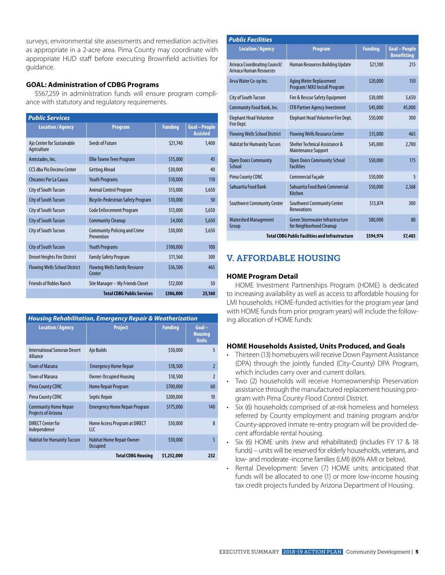surveys, environmental site assessments and remediation activities as appropriate in a 2-acre area. Pima County may coordinate with appropriate HUD staff before executing Brownfield activities for guidance.

# **GOAL: Administration of CDBG Programs**

\$567,259 in administration funds will ensure program compliance with statutory and regulatory requirements.

| <b>Public Services</b>                                   |                                                   |                |                                         |
|----------------------------------------------------------|---------------------------------------------------|----------------|-----------------------------------------|
| <b>Location/Agency</b>                                   | <b>Program</b>                                    | <b>Funding</b> | <b>Goal - People</b><br><b>Assisted</b> |
| Ajo Center for Sustainable<br>Agriculture                | Seeds of Future                                   | \$21,740       | 1,400                                   |
| Amistades, Inc.                                          | <b>Ellie Towne Teen Program</b>                   | \$15,000       | 45                                      |
| CCS dba Pio Decimo Center                                | <b>Getting Ahead</b>                              | \$30,000       | 40                                      |
| <b>Chicanos Por La Causa</b>                             | <b>Youth Programs</b>                             | \$10,000       | 110                                     |
| City of South Tucson                                     | Animal Control Program                            | \$13,000       | 5,650                                   |
| <b>City of South Tucson</b>                              | <b>Bicycle-Pedestrian Safety Program</b>          | \$10,000       | 50                                      |
| City of South Tucson                                     | <b>Code Enforcement Program</b>                   | \$13,000       | 5,650                                   |
| <b>City of South Tucson</b>                              | <b>Community Cleanup</b>                          | \$4,000        | 5,650                                   |
| City of South Tucson                                     | <b>Community Policing and Crime</b><br>Prevention | \$30,000       | 5,650                                   |
| <b>City of South Tucson</b>                              | <b>Youth Programs</b>                             | \$100,000      | 100                                     |
| <b>Drexel Heights Fire District</b>                      | <b>Family Safety Program</b>                      | \$11,560       | 300                                     |
| <b>Flowing Wells School District</b>                     | <b>Flowing Wells Family Resource</b><br>Center    | \$36,500       | 465                                     |
| <b>Friends of Robles Ranch</b>                           | Site Manager - My Friends Closet                  | \$12,000       | 50                                      |
| <b>Total CDBG Public Services</b><br>\$306,800<br>25,160 |                                                   |                |                                         |

| <b>Housing Rehabilitation, Emergency Repair &amp; Weatherization</b> |                                               |                |                                            |  |
|----------------------------------------------------------------------|-----------------------------------------------|----------------|--------------------------------------------|--|
| <b>Location/Agency</b>                                               | <b>Project</b>                                | <b>Funding</b> | $Goal -$<br><b>Housing</b><br><b>Units</b> |  |
| <b>International Sonoran Desert</b><br>Alliance                      | Ajo Builds                                    | \$50,000       | 5                                          |  |
| <b>Town of Marana</b>                                                | <b>Emergency Home Repair</b>                  | \$18,500       | $\overline{2}$                             |  |
| <b>Town of Marana</b>                                                | <b>Owner-Occupied Housing</b>                 | \$18,500       | $\overline{2}$                             |  |
| <b>Pima County CDNC</b>                                              | Home Repair Program                           | \$700,000      | 60                                         |  |
| Pima County CDNC                                                     | Septic Repair                                 | \$200,000      | 10                                         |  |
| <b>Community Home Repair</b><br><b>Projects of Arizona</b>           | <b>Emergency Home Repair Program</b>          | \$175,000      | 140                                        |  |
| <b>DIRECT Center for</b><br>Independence                             | Home Access Program at DIRECT<br>LLC          | \$50,000       | 8                                          |  |
| <b>Habitat for Humanity Tucson</b>                                   | Habitat Home Repair Owner-<br><b>Occupied</b> | \$50,000       | 5                                          |  |
| <b>Total CDBG Housing</b><br>\$1,252,000<br>232                      |                                               |                |                                            |  |

| <b>Public Facilities</b>                                 |                                                                |                |                                            |  |
|----------------------------------------------------------|----------------------------------------------------------------|----------------|--------------------------------------------|--|
| <b>Location/Agency</b>                                   | <b>Program</b>                                                 | <b>Funding</b> | <b>Goal - People</b><br><b>Benefitting</b> |  |
| Arivaca Coordinating Council/<br>Arivaca Human Resources | Human Resources Building Update                                | \$21,100       | 215                                        |  |
| Arva Water Co-op Inc.                                    | <b>Aging Meter Replacement</b><br>Program/ MXU Install Program | \$20,000       | 150                                        |  |
| <b>City of South Tucson</b>                              | Fire & Rescue Safety Equipment                                 | \$30,000       | 5,650                                      |  |
| <b>Community Food Bank, Inc.</b>                         | <b>CFB Partner Agency Investment</b>                           | \$45,000       | 45,000                                     |  |
| <b>Elephant Head Volunteer</b><br>Fire Dept.             | Elephant Head Volunteer Fire Dept.                             | \$50,000       | 300                                        |  |
| <b>Flowing Wells School District</b>                     | <b>Flowing Wells Resource Center</b>                           | \$15,000       | 465                                        |  |
| <b>Habitat for Humanity Tucson</b>                       | Shelter Technical Assistance &<br><b>Maintenance Support</b>   | \$45,000       | 2,700                                      |  |
| <b>Open Doors Community</b><br>School                    | <b>Open Doors Community School</b><br><b>Facilities</b>        | \$50,000       | 175                                        |  |
| Pima County CDNC                                         | <b>Commercial Façade</b>                                       | \$50,000       | 5                                          |  |
| Sahuarita Food Bank                                      | Sahuarita Food Bank Commercial<br>Kitchen                      | \$50,000       | 2,368                                      |  |
| <b>Southwest Community Center</b>                        | Southwest Community Center<br><b>Renovations</b>               | \$13,874       | 300                                        |  |
| <b>Watershed Management</b><br>Group                     | Green Stormwater Infrastructure<br>for Neighborhood Cleanup    | \$80,000       | 80                                         |  |
| <b>Total CDBG Public Facilities and Infrastructure</b>   | \$594,974                                                      | 57,403         |                                            |  |

# V. AFFORDABLE HOUSING

# **HOME Program Detail**

HOME Investment Partnerships Program (HOME) is dedicated to increasing availability as well as access to affordable housing for LMI households. HOME-funded activities for the program year (and with HOME funds from prior program years) will include the following allocation of HOME funds:

### **HOME Households Assisted, Units Produced, and Goals**

- Thirteen (13) homebuyers will receive Down Payment Assistance (DPA) through the jointly funded (City-County) DPA Program, which includes carry over and current dollars.
- Two (2) households will receive Homeownership Preservation assistance through the manufactured replacement housing program with Pima County Flood Control District.
- Six (6) households comprised of at-risk homeless and homeless referred by County employment and training program and/or County-approved inmate re-entry program will be provided decent affordable rental housing.
- Six (6) HOME units (new and rehabilitated) (includes FY 17 & 18 funds) – units will be reserved for elderly households, veterans, and low- and moderate -income families (LMI) (60% AMI or below).
- Rental Development: Seven (7) HOME units; anticipated that funds will be allocated to one (1) or more low-income housing tax credit projects funded by Arizona Department of Housing.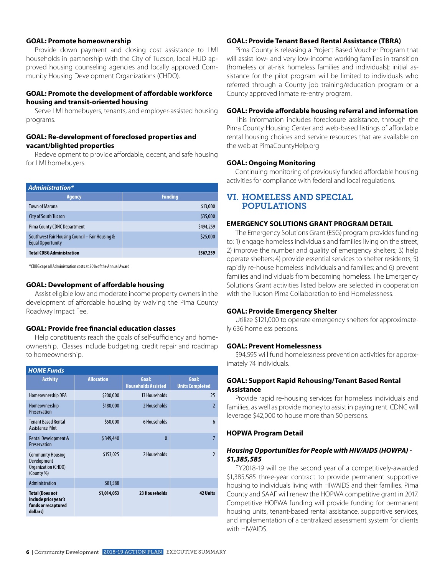## **GOAL: Promote homeownership**

Provide down payment and closing cost assistance to LMI households in partnership with the City of Tucson, local HUD approved housing counseling agencies and locally approved Community Housing Development Organizations (CHDO).

#### **GOAL: Promote the development of affordable workforce housing and transit-oriented housing**

Serve LMI homebuyers, tenants, and employer-assisted housing programs.

# **GOAL: Re-development of foreclosed properties and vacant/blighted properties**

Redevelopment to provide affordable, decent, and safe housing for LMI homebuyers.

| Administration*                                                             |                |  |  |
|-----------------------------------------------------------------------------|----------------|--|--|
| Agency                                                                      | <b>Funding</b> |  |  |
| <b>Town of Marana</b>                                                       | \$13,000       |  |  |
| <b>City of South Tucson</b>                                                 | \$35,000       |  |  |
| Pima County CDNC Department                                                 | \$494,259      |  |  |
| Southwest Fair Housing Council - Fair Housing &<br><b>Equal Opportunity</b> | \$25,000       |  |  |
| <b>Total CDBG Administration</b>                                            | \$567.259      |  |  |

\*CDBG caps all Administration costs at 20% of the Annual Award

### **GOAL: Development of affordable housing**

Assist eligible low and moderate income property owners in the development of affordable housing by waiving the Pima County Roadway Impact Fee.

#### **GOAL: Provide free financial education classes**

Help constituents reach the goals of self-sufficiency and homeownership. Classes include budgeting, credit repair and roadmap to homeownership.

| <b>HOME Funds</b>                                                                 |                   |                                     |                                 |  |
|-----------------------------------------------------------------------------------|-------------------|-------------------------------------|---------------------------------|--|
| <b>Activity</b>                                                                   | <b>Allocation</b> | Goal:<br><b>Households Assisted</b> | Goal:<br><b>Units Completed</b> |  |
| Homeownership DPA                                                                 | \$200,000         | 13 Households                       | 25                              |  |
| Homeownership<br>Preservation                                                     | \$180,000         | 2 Households                        | $\overline{2}$                  |  |
| <b>Tenant Based Rental</b><br><b>Assistance Pilot</b>                             | \$50,000          | 6 Households                        | 6                               |  |
| <b>Rental Development &amp;</b><br>Preservation                                   | \$349,440         | $\mathbf{0}$                        | 7                               |  |
| <b>Community Housing</b><br>Development<br>Organization (CHDO)<br>(County %)      | \$153,025         | 2 Households                        | $\overline{2}$                  |  |
| Administration                                                                    | \$81,588          |                                     |                                 |  |
| <b>Total (Does not</b><br>include prior year's<br>funds or recaptured<br>dollars) | \$1,014,053       | 23 Households                       | 42 Units                        |  |

# **GOAL: Provide Tenant Based Rental Assistance (TBRA)**

Pima County is releasing a Project Based Voucher Program that will assist low- and very low-income working families in transition (homeless or at-risk homeless families and individuals); initial assistance for the pilot program will be limited to individuals who referred through a County job training/education program or a County approved inmate re-entry program.

#### **GOAL: Provide affordable housing referral and information**

This information includes foreclosure assistance, through the Pima County Housing Center and web-based listings of affordable rental housing choices and service resources that are available on the web at PimaCountyHelp.org

#### **GOAL: Ongoing Monitoring**

Continuing monitoring of previously funded affordable housing activities for compliance with federal and local regulations.

# VI. HOMELESS AND SPECIAL POPULATIONS

# **EMERGENCY SOLUTIONS GRANT PROGRAM DETAIL**

The Emergency Solutions Grant (ESG) program provides funding to: 1) engage homeless individuals and families living on the street; 2) improve the number and quality of emergency shelters; 3) help operate shelters; 4) provide essential services to shelter residents; 5) rapidly re-house homeless individuals and families; and 6) prevent families and individuals from becoming homeless. The Emergency Solutions Grant activities listed below are selected in cooperation with the Tucson Pima Collaboration to End Homelessness.

#### **GOAL: Provide Emergency Shelter**

Utilize \$121,000 to operate emergency shelters for approximately 636 homeless persons.

### **GOAL: Prevent Homelessness**

\$94,595 will fund homelessness prevention activities for approximately 74 individuals.

#### **GOAL: Support Rapid Rehousing/Tenant Based Rental Assistance**

Provide rapid re-housing services for homeless individuals and families, as well as provide money to assist in paying rent. CDNC will leverage \$42,000 to house more than 50 persons.

#### **HOPWA Program Detail**

# *Housing Opportunities for People with HIV/AIDS (HOWPA) - \$1,385,585*

FY2018-19 will be the second year of a competitively-awarded \$1,385,585 three-year contract to provide permanent supportive housing to individuals living with HIV/AIDS and their families. Pima County and SAAF will renew the HOPWA competitive grant in 2017. Competitive HOPWA funding will provide funding for permanent housing units, tenant-based rental assistance, supportive services, and implementation of a centralized assessment system for clients with HIV/AIDS.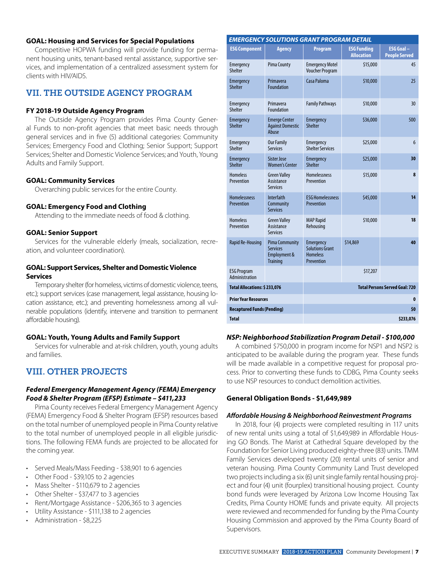#### **GOAL: Housing and Services for Special Populations**

Competitive HOPWA funding will provide funding for permanent housing units, tenant-based rental assistance, supportive services, and implementation of a centralized assessment system for clients with HIV/AIDS.

# VII. THE OUTSIDE AGENCY PROGRAM

#### **FY 2018-19 Outside Agency Program**

The Outside Agency Program provides Pima County General Funds to non-profit agencies that meet basic needs through general services and in five (5) additional categories: Community Services; Emergency Food and Clothing; Senior Support; Support Services; Shelter and Domestic Violence Services; and Youth, Young Adults and Family Support.

#### **GOAL: Community Services**

Overarching public services for the entire County.

### **GOAL: Emergency Food and Clothing**

Attending to the immediate needs of food & clothing.

### **GOAL: Senior Support**

Services for the vulnerable elderly (meals, socialization, recreation, and volunteer coordination).

# **GOAL: Support Services, Shelter and Domestic Violence Services**

Temporary shelter (for homeless, victims of domestic violence, teens, etc.); support services (case management, legal assistance, housing location assistance, etc.); and preventing homelessness among all vulnerable populations (identify, intervene and transition to permanent affordable housing).

# **GOAL: Youth, Young Adults and Family Support**

Services for vulnerable and at-risk children, youth, young adults and families.

# VIII. OTHER PROJECTS

# *Federal Emergency Management Agency (FEMA) Emergency Food & Shelter Program (EFSP) Estimate – \$411,233*

Pima County receives Federal Emergency Management Agency (FEMA) Emergency Food & Shelter Program (EFSP) resources based on the total number of unemployed people in Pima County relative to the total number of unemployed people in all eligible jurisdictions. The following FEMA funds are projected to be allocated for the coming year.

- Served Meals/Mass Feeding \$38,901 to 6 agencies
- Other Food \$39,105 to 2 agencies
- Mass Shelter \$110,679 to 2 agencies
- Other Shelter \$37,477 to 3 agencies
- Rent/Mortgage Assistance \$206,365 to 3 agencies
- Utility Assistance \$111,138 to 2 agencies
- Administration \$8,225

| <b>EMERGENCY SOLUTIONS GRANT PROGRAM DETAIL</b> |                                                                             |                                                                      |                                         |                                          |
|-------------------------------------------------|-----------------------------------------------------------------------------|----------------------------------------------------------------------|-----------------------------------------|------------------------------------------|
| <b>ESG Component</b>                            | <b>Agency</b>                                                               | <b>Program</b>                                                       | <b>ESG Funding</b><br><b>Allocation</b> | <b>ESG Goal-</b><br><b>People Served</b> |
| Emergency<br><b>Shelter</b>                     | Pima County                                                                 | <b>Emergency Motel</b><br><b>Voucher Program</b>                     | \$15,000                                | 45                                       |
| Emergency<br><b>Shelter</b>                     | Primavera<br><b>Foundation</b>                                              | Casa Paloma                                                          | \$10,000                                | 25                                       |
| Emergency<br><b>Shelter</b>                     | Primavera<br><b>Foundation</b>                                              | <b>Family Pathways</b>                                               | \$10,000                                | 30                                       |
| Emergency<br><b>Shelter</b>                     | <b>Emerge Center</b><br><b>Against Domestic</b><br>Abuse                    | Emergency<br><b>Shelter</b>                                          | \$36,000                                | 500                                      |
| Emergency<br><b>Shelter</b>                     | <b>Our Family</b><br><b>Services</b>                                        | Emergency<br><b>Shelter Services</b>                                 | \$25,000                                | 6                                        |
| Emergency<br><b>Shelter</b>                     | <b>Sister Jose</b><br><b>Women's Center</b>                                 | Emergency<br><b>Shelter</b>                                          | \$25,000                                | 30                                       |
| <b>Homeless</b><br>Prevention                   | <b>Green Valley</b><br>Assistance<br><b>Services</b>                        | <b>Homelessness</b><br>Prevention                                    | \$15,000                                | 8                                        |
| <b>Homelessness</b><br>Prevention               | <b>Interfaith</b><br>Community<br><b>Services</b>                           | <b>ESG Homelessness</b><br>Prevention                                | \$45,000                                | 14                                       |
| <b>Homeless</b><br>Prevention                   | <b>Green Valley</b><br>Assistance<br><b>Services</b>                        | <b>MAP Rapid</b><br>Rehousing                                        | \$10,000                                | 18                                       |
| <b>Rapid Re-Housing</b>                         | <b>Pima Community</b><br><b>Services</b><br>Employment &<br><b>Training</b> | Emergency<br><b>Solutions Grant</b><br><b>Homeless</b><br>Prevention | \$14,869                                | 40                                       |
| <b>ESG Program</b><br>Administration            |                                                                             |                                                                      | \$17,207                                |                                          |
|                                                 | <b>Total Persons Served Goal: 720</b><br>Total Allocations: \$233,076       |                                                                      |                                         |                                          |
| <b>Prior Year Resources</b>                     |                                                                             |                                                                      |                                         | 0                                        |
| <b>Recaptured Funds (Pending)</b>               |                                                                             | \$0                                                                  |                                         |                                          |
| <b>Total</b>                                    |                                                                             |                                                                      |                                         | \$233,076                                |

#### *NSP: Neighborhood Stabilization Program Detail - \$100,000*

A combined \$750,000 in program income for NSP1 and NSP2 is anticipated to be available during the program year. These funds will be made available in a competitive request for proposal process. Prior to converting these funds to CDBG, Pima County seeks to use NSP resources to conduct demolition activities.

# **General Obligation Bonds - \$1,649,989**

#### *Affordable Housing & Neighborhood Reinvestment Programs*

In 2018, four (4) projects were completed resulting in 117 units of new rental units using a total of \$1,649,989 in Affordable Housing GO Bonds. The Marist at Cathedral Square developed by the Foundation for Senior Living produced eighty-three (83) units. TMM Family Services developed twenty (20) rental units of senior and veteran housing. Pima County Community Land Trust developed two projects including a six (6) unit single family rental housing project and four (4) unit (fourplex) transitional housing project. County bond funds were leveraged by Arizona Low Income Housing Tax Credits, Pima County HOME funds and private equity. All projects were reviewed and recommended for funding by the Pima County Housing Commission and approved by the Pima County Board of Supervisors.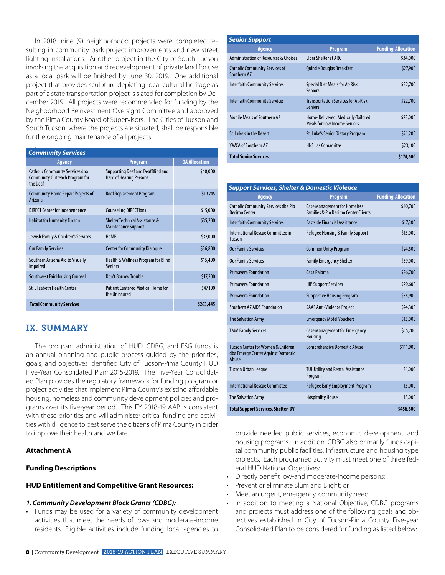In 2018, nine (9) neighborhood projects were completed resulting in community park project improvements and new street lighting installations. Another project in the City of South Tucson involving the acquisition and redevelopment of private land for use as a local park will be finished by June 30, 2019. One additional project that provides sculpture depicting local cultural heritage as part of a state transportation project is slated for completion by December 2019. All projects were recommended for funding by the Neighborhood Reinvestment Oversight Committee and approved by the Pima County Board of Supervisors. The Cities of Tucson and South Tucson, where the projects are situated, shall be responsible for the ongoing maintenance of all projects

| <b>Community Services</b>                                                                   |                                                                     |                      |
|---------------------------------------------------------------------------------------------|---------------------------------------------------------------------|----------------------|
| <b>Agency</b>                                                                               | <b>Program</b>                                                      | <b>OA Allocation</b> |
| <b>Catholic Community Services dba</b><br><b>Community Outreach Program for</b><br>the Deaf | Supporting Deaf and DeafBlind and<br><b>Hard of Hearing Persons</b> | \$40,000             |
| <b>Community Home Repair Projects of</b><br>Arizona                                         | <b>Roof Replacement Program</b>                                     | \$19,745             |
| <b>DIRECT Center for Independence</b>                                                       | <b>Counseling DIRECTions</b>                                        | \$15,000             |
| <b>Habitat for Humanity Tucson</b>                                                          | Shelter Technical Assistance &<br><b>Maintenance Support</b>        | \$35,200             |
| Jewish Family & Children's Services                                                         | HoMF                                                                | \$37,000             |
| <b>Our Family Services</b>                                                                  | <b>Center for Community Dialogue</b>                                | \$36,800             |
| Southern Arizona Aid to Visually<br>Impaired                                                | Health & Wellness Program for Blind<br><b>Seniors</b>               | \$15,400             |
| <b>Southwest Fair Housing Counsel</b>                                                       | Don't Borrow Trouble                                                | \$17,200             |
| St. Flizabeth Health Center                                                                 | Patient Centered Medical Home for<br>the Uninsured                  | \$47,100             |
| <b>Total Community Services</b>                                                             |                                                                     | \$263,445            |

# IX. SUMMARY

The program administration of HUD, CDBG, and ESG funds is an annual planning and public process guided by the priorities, goals, and objectives identified City of Tucson-Pima County HUD Five-Year Consolidated Plan; 2015-2019. The Five-Year Consolidated Plan provides the regulatory framework for funding program or project activities that implement Pima County's existing affordable housing, homeless and community development policies and programs over its five-year period. This FY 2018-19 AAP is consistent with these priorities and will administer critical funding and activities with diligence to best serve the citizens of Pima County in order to improve their health and welfare.

# **Attachment A**

# **Funding Descriptions**

#### **HUD Entitlement and Competitive Grant Resources:**

#### *1. Community Development Block Grants (CDBG):*

• Funds may be used for a variety of community development activities that meet the needs of low- and moderate-income residents. Eligible activities include funding local agencies to

| <b>Senior Support</b>                                |                                                                    |                           |
|------------------------------------------------------|--------------------------------------------------------------------|---------------------------|
| <b>Agency</b>                                        | <b>Program</b>                                                     | <b>Funding Allocation</b> |
| Administration of Resources & Choices                | <b>Flder Shelter at ARC</b>                                        | \$34,000                  |
| <b>Catholic Community Services of</b><br>Southern A7 | <b>Quincie Douglas Breakfast</b>                                   | \$27,900                  |
| <b>Interfaith Community Services</b>                 | <b>Special Diet Meals for At-Risk</b><br><b>Seniors</b>            | \$22,700                  |
| <b>Interfaith Community Services</b>                 | <b>Transportation Services for At-Risk</b><br><b>Seniors</b>       | \$22,700                  |
| Mobile Meals of Southern A7                          | Home-Delivered, Medically-Tailored<br>Meals for Low Income Seniors | \$23,000                  |
| St. Luke's in the Desert                             | St. Luke's Senior Dietary Program                                  | \$21,200                  |
| <b>YWCA of Southern AZ</b>                           | <b>HNS Las Comadritas</b>                                          | \$23,100                  |
| <b>Total Senior Services</b>                         |                                                                    | \$174,600                 |

| <b>Support Services, Shelter &amp; Domestic Violence</b>                                     |                                                                                        |                           |  |
|----------------------------------------------------------------------------------------------|----------------------------------------------------------------------------------------|---------------------------|--|
| <b>Agency</b>                                                                                | <b>Program</b>                                                                         | <b>Funding Allocation</b> |  |
| <b>Catholic Community Services dba Pio</b><br>Decimo Center                                  | <b>Case Management for Homeless</b><br><b>Families &amp; Pio Decimo Center Clients</b> | \$40,700                  |  |
| <b>Interfaith Community Services</b>                                                         | <b>Eastside Financial Assistance</b>                                                   | \$17,300                  |  |
| International Rescue Committee in<br>Tucson                                                  | Refugee Housing & Family Support                                                       | \$15,000                  |  |
| <b>Our Family Services</b>                                                                   | <b>Common Unity Program</b>                                                            | \$24,500                  |  |
| <b>Our Family Services</b>                                                                   | <b>Family Emergency Shelter</b>                                                        | \$39,000                  |  |
| <b>Primavera Foundation</b>                                                                  | Casa Paloma                                                                            | \$26,700                  |  |
| <b>Primavera Foundation</b>                                                                  | <b>HIP Support Services</b>                                                            | \$29,600                  |  |
| <b>Primavera Foundation</b>                                                                  | <b>Supportive Housing Program</b>                                                      | \$35,900                  |  |
| Southern AZ AIDS Foundation                                                                  | <b>SAAF Anti-Violence Project</b>                                                      | \$24,300                  |  |
| <b>The Salvation Army</b>                                                                    | <b>Emergency Motel Vouchers</b>                                                        | \$15,000                  |  |
| <b>TMM Family Services</b>                                                                   | <b>Case Management for Emergency</b><br>Housina                                        | \$15,700                  |  |
| <b>Tucson Center for Women &amp; Children</b><br>dba Emerge Center Against Domestic<br>Abuse | <b>Comprehensive Domestic Abuse</b>                                                    | \$111,900                 |  |
| <b>Tucson Urban League</b>                                                                   | <b>TUL Utility and Rental Assistance</b><br>Program                                    | 31,000                    |  |
| <b>International Rescue Committee</b>                                                        | Refugee Early Employment Program                                                       | 15,000                    |  |
| The Salvation Army                                                                           | <b>Hospitality House</b>                                                               | 15,000                    |  |
| <b>Total Support Services, Shelter, DV</b>                                                   |                                                                                        | \$456,600                 |  |

provide needed public services, economic development, and housing programs. In addition, CDBG also primarily funds capital community public facilities, infrastructure and housing type projects. Each programed activity must meet one of three federal HUD National Objectives:

- Directly benefit low-and moderate-income persons;
- Prevent or eliminate Slum and Blight; or
- Meet an urgent, emergency, community need.
- In addition to meeting a National Objective, CDBG programs and projects must address one of the following goals and objectives established in City of Tucson-Pima County Five-year Consolidated Plan to be considered for funding as listed below: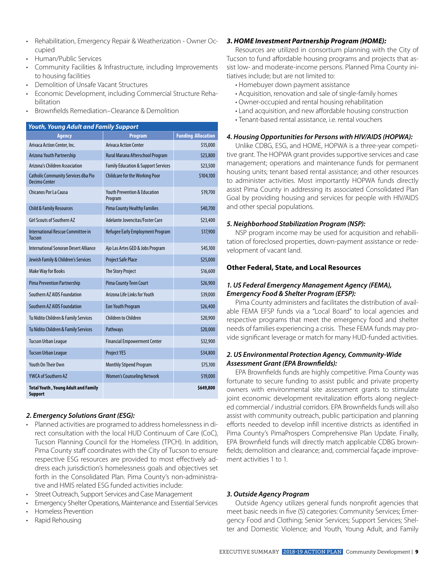- Rehabilitation, Emergency Repair & Weatherization Owner Occupied
- Human/Public Services
- Community Facilities & Infrastructure, including Improvements to housing facilities
- Demolition of Unsafe Vacant Structures
- Economic Development, including Commercial Structure Rehabilitation
- Brownfields Remediation–Clearance & Demolition

| <b>Youth, Young Adult and Family Support</b>                       |                                                    |                           |  |
|--------------------------------------------------------------------|----------------------------------------------------|---------------------------|--|
| <b>Agency</b>                                                      | <b>Program</b>                                     | <b>Funding Allocation</b> |  |
| Arivaca Action Center, Inc.                                        | <b>Arivaca Action Center</b>                       | \$15,000                  |  |
| Arizona Youth Partnership                                          | Rural Marana Afterschool Program                   | \$23,800                  |  |
| Arizona's Children Association                                     | <b>Family Education &amp; Support Services</b>     | \$23,500                  |  |
| <b>Catholic Community Services dba Pio</b><br><b>Decimo Center</b> | <b>Childcare for the Working Poor</b>              | \$104,100                 |  |
| Chicanos Por La Causa                                              | <b>Youth Prevention &amp; Education</b><br>Program | \$19,700                  |  |
| <b>Child &amp; Family Resources</b>                                | <b>Pima County Healthy Families</b>                | \$40,700                  |  |
| <b>Girl Scouts of Southern AZ</b>                                  | Adelante Jovencitas/Foster Care                    | \$23,400                  |  |
| <b>International Rescue Committee in</b><br><b>Tucson</b>          | Refugee Early Employment Program                   | \$17,900                  |  |
| <b>International Sonoran Desert Alliance</b>                       | Ajo Las Artes GED & Jobs Program                   | \$45,100                  |  |
| Jewish Family & Children's Services                                | <b>Project Safe Place</b>                          | \$25,000                  |  |
| <b>Make Way for Books</b>                                          | <b>The Story Project</b>                           | \$16,600                  |  |
| <b>Pima Prevention Partnership</b>                                 | Pima County Teen Court                             | \$26,900                  |  |
| Southern AZ AIDS Foundation                                        | Arizona Life Links for Youth                       | \$39,000                  |  |
| <b>Southern AZ AIDS Foundation</b>                                 | <b>Eon Youth Program</b>                           | \$26,400                  |  |
| Tu Nidito Children & Family Services                               | <b>Children to Children</b>                        | \$20,900                  |  |
| Tu Nidito Children & Family Services                               | Pathways                                           | \$20,000                  |  |
| <b>Tucson Urban League</b>                                         | <b>Financial Empowerment Center</b>                | \$32,900                  |  |
| <b>Tucson Urban League</b>                                         | <b>Project YES</b>                                 | \$34,800                  |  |
| Youth On Their Own                                                 | <b>Monthly Stipend Program</b>                     | \$75,100                  |  |
| <b>YWCA of Southern AZ</b>                                         | <b>Women's Counseling Network</b>                  | \$19,000                  |  |
| <b>Total Youth, Young Adult and Family</b><br>Support              |                                                    | \$649,800                 |  |

# *2. Emergency Solutions Grant (ESG):*

- Planned activities are programed to address homelessness in direct consultation with the local HUD Continuum of Care (CoC), Tucson Planning Council for the Homeless (TPCH). In addition, Pima County staff coordinates with the City of Tucson to ensure respective ESG resources are provided to most effectively address each jurisdiction's homelessness goals and objectives set forth in the Consolidated Plan. Pima County's non-administrative and HMIS related ESG funded activities include:
- Street Outreach, Support Services and Case Management
- Emergency Shelter Operations, Maintenance and Essential Services
- Homeless Prevention
- Rapid Rehousing

## *3. HOME Investment Partnership Program (HOME):*

Resources are utilized in consortium planning with the City of Tucson to fund affordable housing programs and projects that assist low- and moderate-income persons. Planned Pima County initiatives include; but are not limited to:

- Homebuyer down payment assistance
- Acquisition, renovation and sale of single-family homes
- Owner-occupied and rental housing rehabilitation
- Land acquisition, and new affordable housing construction
- Tenant-based rental assistance, i.e. rental vouchers

# *4. Housing Opportunities for Persons with HIV/AIDS (HOPWA):*

Unlike CDBG, ESG, and HOME, HOPWA is a three-year competitive grant. The HOPWA grant provides supportive services and case management; operations and maintenance funds for permanent housing units; tenant based rental assistance; and other resources to administer activities. Most importantly HOPWA funds directly assist Pima County in addressing its associated Consolidated Plan Goal by providing housing and services for people with HIV/AIDS and other special populations.

### *5. Neighborhood Stabilization Program (NSP):*

NSP program income may be used for acquisition and rehabilitation of foreclosed properties, down-payment assistance or redevelopment of vacant land.

# **Other Federal, State, and Local Resources**

# *1. US Federal Emergency Management Agency (FEMA), Emergency Food & Shelter Program (EFSP):*

Pima County administers and facilitates the distribution of available FEMA EFSP funds via a "Local Board" to local agencies and respective programs that meet the emergency food and shelter needs of families experiencing a crisis. These FEMA funds may provide significant leverage or match for many HUD-funded activities.

# *2. US Environmental Protection Agency, Community-Wide Assessment Grant (EPA Brownfields):*

EPA Brownfields funds are highly competitive. Pima County was fortunate to secure funding to assist public and private property owners with environmental site assessment grants to stimulate joint economic development revitalization efforts along neglected commercial / industrial corridors. EPA Brownfields funds will also assist with community outreach, public participation and planning efforts needed to develop infill incentive districts as identified in Pima County's PimaProspers Comprehensive Plan Update. Finally, EPA Brownfield funds will directly match applicable CDBG brownfields; demolition and clearance; and, commercial façade improvement activities 1 to 1.

#### *3. Outside Agency Program*

Outside Agency utilizes general funds nonprofit agencies that meet basic needs in five (5) categories: Community Services; Emergency Food and Clothing; Senior Services; Support Services; Shelter and Domestic Violence; and Youth, Young Adult, and Family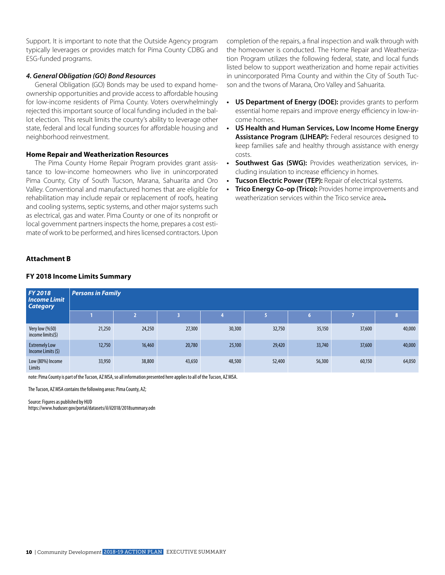Support. It is important to note that the Outside Agency program typically leverages or provides match for Pima County CDBG and ESG-funded programs.

# *4. General Obligation (GO) Bond Resources*

General Obligation (GO) Bonds may be used to expand homeownership opportunities and provide access to affordable housing for low-income residents of Pima County. Voters overwhelmingly rejected this important source of local funding included in the ballot election. This result limits the county's ability to leverage other state, federal and local funding sources for affordable housing and neighborhood reinvestment.

### **Home Repair and Weatherization Resources**

The Pima County Home Repair Program provides grant assistance to low-income homeowners who live in unincorporated Pima County, City of South Tucson, Marana, Sahuarita and Oro Valley. Conventional and manufactured homes that are eligible for rehabilitation may include repair or replacement of roofs, heating and cooling systems, septic systems, and other major systems such as electrical, gas and water. Pima County or one of its nonprofit or local government partners inspects the home, prepares a cost estimate of work to be performed, and hires licensed contractors. Upon

completion of the repairs, a final inspection and walk through with the homeowner is conducted. The Home Repair and Weatherization Program utilizes the following federal, state, and local funds listed below to support weatherization and home repair activities in unincorporated Pima County and within the City of South Tucson and the twons of Marana, Oro Valley and Sahuarita.

- **• US Department of Energy (DOE):** provides grants to perform essential home repairs and improve energy efficiency in low-income homes.
- **• US Health and Human Services, Low Income Home Energy Assistance Program (LIHEAP):** Federal resources designed to keep families safe and healthy through assistance with energy costs.
- **• Southwest Gas (SWG):** Provides weatherization services, including insulation to increase efficiency in homes.
- **• Tucson Electric Power (TEP):** Repair of electrical systems.
- **• Trico Energy Co-op (Trico):** Provides home improvements and weatherization services within the Trico service area**.**

# **Attachment B**

| <b>FY 2018</b><br><b>Income Limit</b><br><b>Category</b> | <b>Persons in Family</b> |        |        |        |        |        |        |        |
|----------------------------------------------------------|--------------------------|--------|--------|--------|--------|--------|--------|--------|
|                                                          |                          |        |        |        |        |        | с      | 8      |
| Very low (%50)<br>income $limits(s)$                     | 21,250                   | 24,250 | 27,300 | 30,300 | 32,750 | 35,150 | 37,600 | 40,000 |
| <b>Extremely Low</b><br>Income Limits (\$)               | 12,750                   | 16,460 | 20,780 | 25,100 | 29,420 | 33,740 | 37,600 | 40,000 |
| Low (80%) Income<br>Limits                               | 33,950                   | 38,800 | 43,650 | 48,500 | 52,400 | 56,300 | 60,150 | 64,050 |

#### **FY 2018 Income Limits Summary**

note: Pima County is part of the Tucson, AZ MSA, so all information presented here applies to all of the Tucson, AZ MSA.

The Tucson, AZ MSA contains the following areas: Pima County, AZ;

#### Source: Figures as published by HUD

https://www.huduser.gov/portal/datasets/il/il2018/2018summary.odn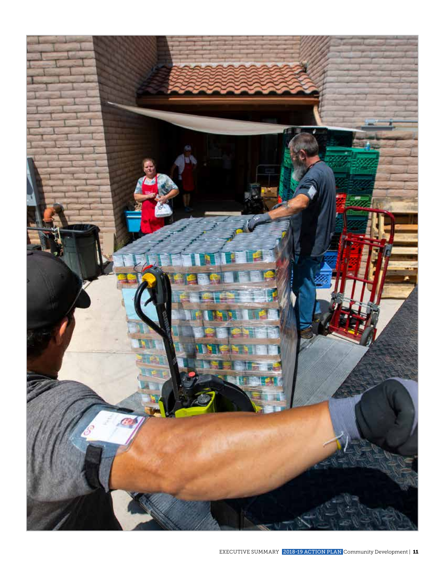